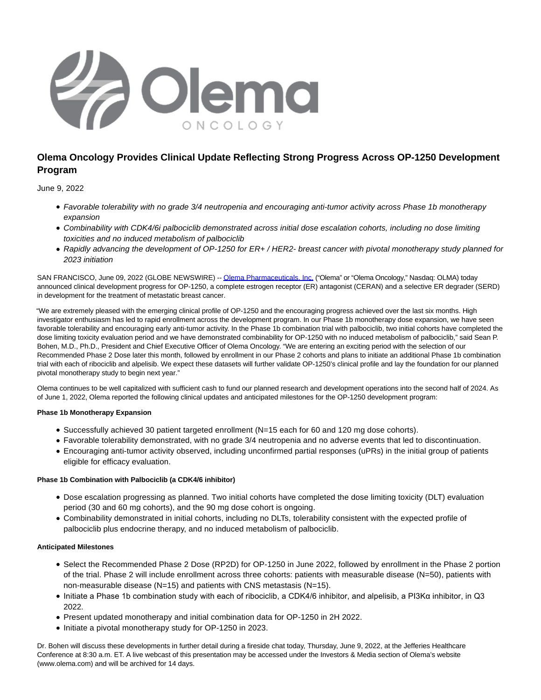

# **Olema Oncology Provides Clinical Update Reflecting Strong Progress Across OP-1250 Development Program**

June 9, 2022

- Favorable tolerability with no grade 3/4 neutropenia and encouraging anti-tumor activity across Phase 1b monotherapy expansion
- Combinability with CDK4/6i palbociclib demonstrated across initial dose escalation cohorts, including no dose limiting toxicities and no induced metabolism of palbociclib
- Rapidly advancing the development of OP-1250 for ER+ / HER2- breast cancer with pivotal monotherapy study planned for 2023 initiation

SAN FRANCISCO, June 09, 2022 (GLOBE NEWSWIRE) -[- Olema Pharmaceuticals, Inc. \(](https://www.globenewswire.com/Tracker?data=XLNm6SA7_GLho8swPxsxUn-PrA_9Gw7RE7DBczy0UTEo4xMbU_NSaPuXvjF3mM0KmSQsXXVgdvtixkxI77MTV_muPMlXU_LBQtdsPjR9lBQ=)"Olema" or "Olema Oncology," Nasdaq: OLMA) today announced clinical development progress for OP-1250, a complete estrogen receptor (ER) antagonist (CERAN) and a selective ER degrader (SERD) in development for the treatment of metastatic breast cancer.

"We are extremely pleased with the emerging clinical profile of OP-1250 and the encouraging progress achieved over the last six months. High investigator enthusiasm has led to rapid enrollment across the development program. In our Phase 1b monotherapy dose expansion, we have seen favorable tolerability and encouraging early anti-tumor activity. In the Phase 1b combination trial with palbociclib, two initial cohorts have completed the dose limiting toxicity evaluation period and we have demonstrated combinability for OP-1250 with no induced metabolism of palbociclib," said Sean P. Bohen, M.D., Ph.D., President and Chief Executive Officer of Olema Oncology. "We are entering an exciting period with the selection of our Recommended Phase 2 Dose later this month, followed by enrollment in our Phase 2 cohorts and plans to initiate an additional Phase 1b combination trial with each of ribociclib and alpelisib. We expect these datasets will further validate OP-1250's clinical profile and lay the foundation for our planned pivotal monotherapy study to begin next year."

Olema continues to be well capitalized with sufficient cash to fund our planned research and development operations into the second half of 2024. As of June 1, 2022, Olema reported the following clinical updates and anticipated milestones for the OP-1250 development program:

# **Phase 1b Monotherapy Expansion**

- Successfully achieved 30 patient targeted enrollment (N=15 each for 60 and 120 mg dose cohorts).
- Favorable tolerability demonstrated, with no grade 3/4 neutropenia and no adverse events that led to discontinuation.
- Encouraging anti-tumor activity observed, including unconfirmed partial responses (uPRs) in the initial group of patients eligible for efficacy evaluation.

## **Phase 1b Combination with Palbociclib (a CDK4/6 inhibitor)**

- Dose escalation progressing as planned. Two initial cohorts have completed the dose limiting toxicity (DLT) evaluation period (30 and 60 mg cohorts), and the 90 mg dose cohort is ongoing.
- Combinability demonstrated in initial cohorts, including no DLTs, tolerability consistent with the expected profile of palbociclib plus endocrine therapy, and no induced metabolism of palbociclib.

## **Anticipated Milestones**

- Select the Recommended Phase 2 Dose (RP2D) for OP-1250 in June 2022, followed by enrollment in the Phase 2 portion of the trial. Phase 2 will include enrollment across three cohorts: patients with measurable disease (N=50), patients with non-measurable disease  $(N=15)$  and patients with CNS metastasis  $(N=15)$ .
- Initiate a Phase 1b combination study with each of ribociclib, a CDK4/6 inhibitor, and alpelisib, a PI3Kα inhibitor, in Q3 2022.
- Present updated monotherapy and initial combination data for OP-1250 in 2H 2022.
- Initiate a pivotal monotherapy study for OP-1250 in 2023.

Dr. Bohen will discuss these developments in further detail during a fireside chat today, Thursday, June 9, 2022, at the Jefferies Healthcare Conference at 8:30 a.m. ET. A live webcast of this presentation may be accessed under the Investors & Media section of Olema's website (www.olema.com) and will be archived for 14 days.